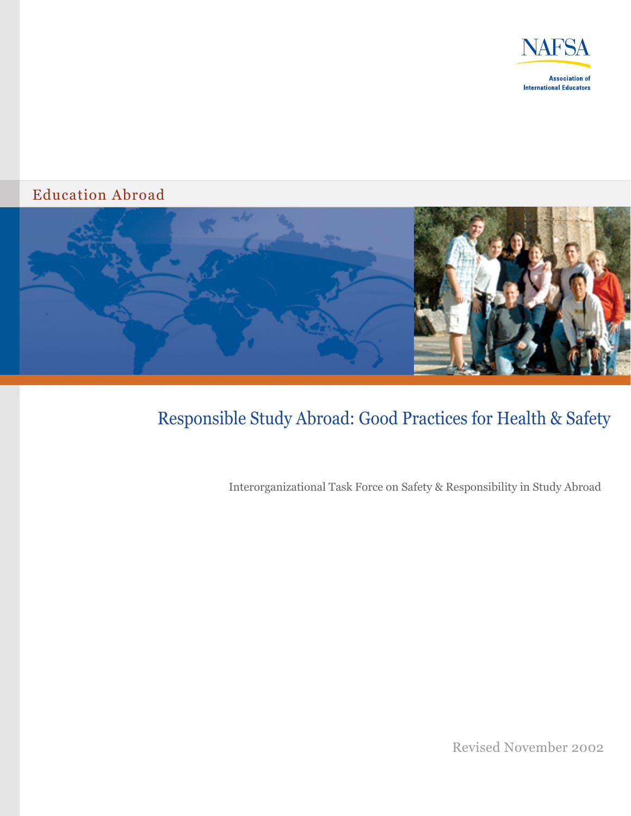

#### Education Abroad



# Responsible Study Abroad: Good Practices for Health & Safety

Interorganizational Task Force on Safety & Responsibility in Study Abroad

Revised November 2002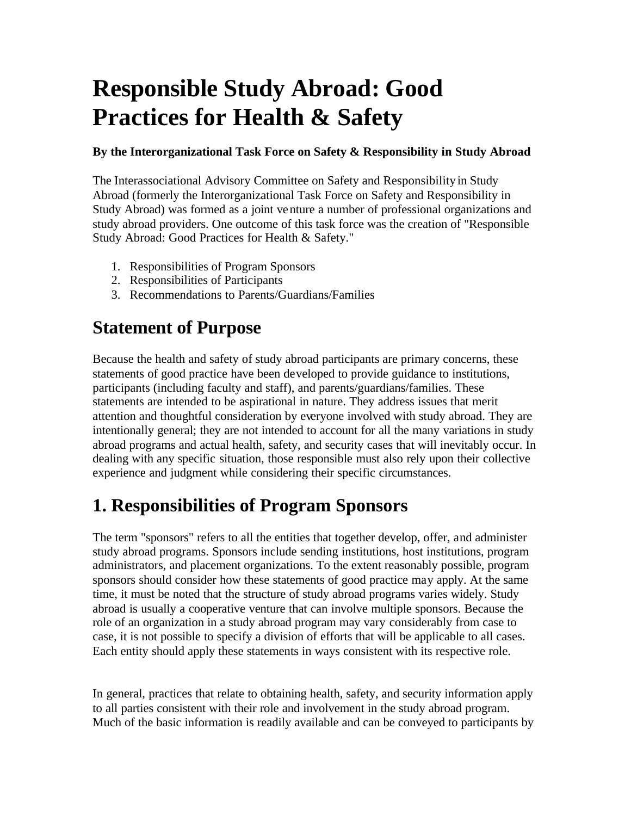# **Responsible Study Abroad: Good Practices for Health & Safety**

#### **By the Interorganizational Task Force on Safety & Responsibility in Study Abroad**

The Interassociational Advisory Committee on Safety and Responsibility in Study Abroad (formerly the Interorganizational Task Force on Safety and Responsibility in Study Abroad) was formed as a joint venture a number of professional organizations and study abroad providers. One outcome of this task force was the creation of "Responsible Study Abroad: Good Practices for Health & Safety."

- 1. Responsibilities of Program Sponsors
- 2. Responsibilities of Participants
- 3. Recommendations to Parents/Guardians/Families

### **Statement of Purpose**

Because the health and safety of study abroad participants are primary concerns, these statements of good practice have been developed to provide guidance to institutions, participants (including faculty and staff), and parents/guardians/families. These statements are intended to be aspirational in nature. They address issues that merit attention and thoughtful consideration by everyone involved with study abroad. They are intentionally general; they are not intended to account for all the many variations in study abroad programs and actual health, safety, and security cases that will inevitably occur. In dealing with any specific situation, those responsible must also rely upon their collective experience and judgment while considering their specific circumstances.

## **1. Responsibilities of Program Sponsors**

The term "sponsors" refers to all the entities that together develop, offer, and administer study abroad programs. Sponsors include sending institutions, host institutions, program administrators, and placement organizations. To the extent reasonably possible, program sponsors should consider how these statements of good practice may apply. At the same time, it must be noted that the structure of study abroad programs varies widely. Study abroad is usually a cooperative venture that can involve multiple sponsors. Because the role of an organization in a study abroad program may vary considerably from case to case, it is not possible to specify a division of efforts that will be applicable to all cases. Each entity should apply these statements in ways consistent with its respective role.

In general, practices that relate to obtaining health, safety, and security information apply to all parties consistent with their role and involvement in the study abroad program. Much of the basic information is readily available and can be conveyed to participants by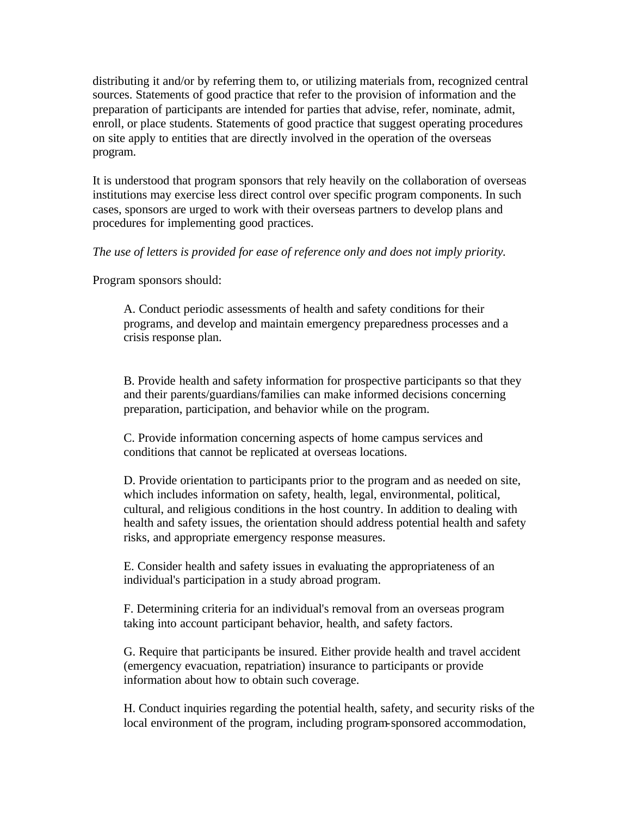distributing it and/or by referring them to, or utilizing materials from, recognized central sources. Statements of good practice that refer to the provision of information and the preparation of participants are intended for parties that advise, refer, nominate, admit, enroll, or place students. Statements of good practice that suggest operating procedures on site apply to entities that are directly involved in the operation of the overseas program.

It is understood that program sponsors that rely heavily on the collaboration of overseas institutions may exercise less direct control over specific program components. In such cases, sponsors are urged to work with their overseas partners to develop plans and procedures for implementing good practices.

*The use of letters is provided for ease of reference only and does not imply priority.*

Program sponsors should:

A. Conduct periodic assessments of health and safety conditions for their programs, and develop and maintain emergency preparedness processes and a crisis response plan.

B. Provide health and safety information for prospective participants so that they and their parents/guardians/families can make informed decisions concerning preparation, participation, and behavior while on the program.

C. Provide information concerning aspects of home campus services and conditions that cannot be replicated at overseas locations.

D. Provide orientation to participants prior to the program and as needed on site, which includes information on safety, health, legal, environmental, political, cultural, and religious conditions in the host country. In addition to dealing with health and safety issues, the orientation should address potential health and safety risks, and appropriate emergency response measures.

E. Consider health and safety issues in evaluating the appropriateness of an individual's participation in a study abroad program.

F. Determining criteria for an individual's removal from an overseas program taking into account participant behavior, health, and safety factors.

G. Require that participants be insured. Either provide health and travel accident (emergency evacuation, repatriation) insurance to participants or provide information about how to obtain such coverage.

H. Conduct inquiries regarding the potential health, safety, and security risks of the local environment of the program, including program-sponsored accommodation,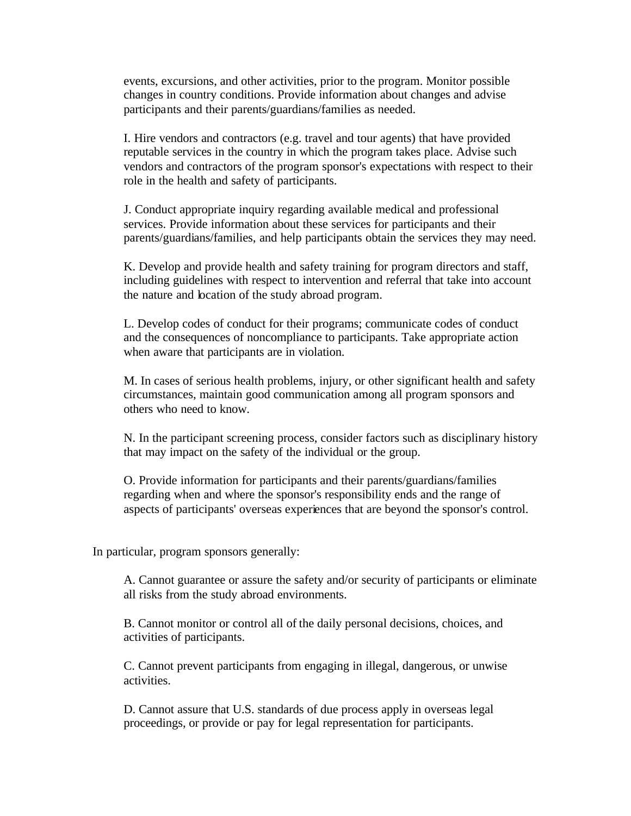events, excursions, and other activities, prior to the program. Monitor possible changes in country conditions. Provide information about changes and advise participants and their parents/guardians/families as needed.

I. Hire vendors and contractors (e.g. travel and tour agents) that have provided reputable services in the country in which the program takes place. Advise such vendors and contractors of the program sponsor's expectations with respect to their role in the health and safety of participants.

J. Conduct appropriate inquiry regarding available medical and professional services. Provide information about these services for participants and their parents/guardians/families, and help participants obtain the services they may need.

K. Develop and provide health and safety training for program directors and staff, including guidelines with respect to intervention and referral that take into account the nature and location of the study abroad program.

L. Develop codes of conduct for their programs; communicate codes of conduct and the consequences of noncompliance to participants. Take appropriate action when aware that participants are in violation.

M. In cases of serious health problems, injury, or other significant health and safety circumstances, maintain good communication among all program sponsors and others who need to know.

N. In the participant screening process, consider factors such as disciplinary history that may impact on the safety of the individual or the group.

O. Provide information for participants and their parents/guardians/families regarding when and where the sponsor's responsibility ends and the range of aspects of participants' overseas experiences that are beyond the sponsor's control.

In particular, program sponsors generally:

A. Cannot guarantee or assure the safety and/or security of participants or eliminate all risks from the study abroad environments.

B. Cannot monitor or control all of the daily personal decisions, choices, and activities of participants.

C. Cannot prevent participants from engaging in illegal, dangerous, or unwise activities.

D. Cannot assure that U.S. standards of due process apply in overseas legal proceedings, or provide or pay for legal representation for participants.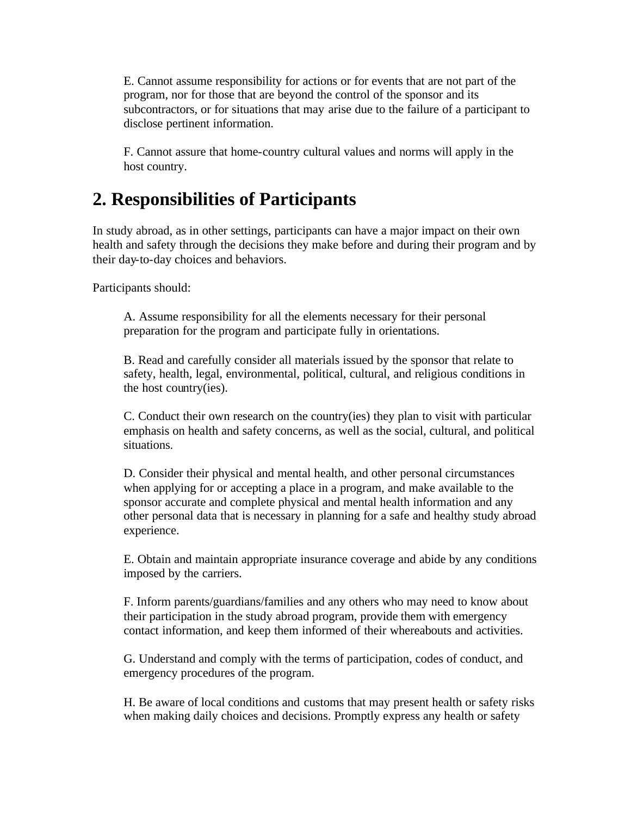E. Cannot assume responsibility for actions or for events that are not part of the program, nor for those that are beyond the control of the sponsor and its subcontractors, or for situations that may arise due to the failure of a participant to disclose pertinent information.

F. Cannot assure that home-country cultural values and norms will apply in the host country.

#### **2. Responsibilities of Participants**

In study abroad, as in other settings, participants can have a major impact on their own health and safety through the decisions they make before and during their program and by their day-to-day choices and behaviors.

Participants should:

A. Assume responsibility for all the elements necessary for their personal preparation for the program and participate fully in orientations.

B. Read and carefully consider all materials issued by the sponsor that relate to safety, health, legal, environmental, political, cultural, and religious conditions in the host country(ies).

C. Conduct their own research on the country(ies) they plan to visit with particular emphasis on health and safety concerns, as well as the social, cultural, and political situations.

D. Consider their physical and mental health, and other personal circumstances when applying for or accepting a place in a program, and make available to the sponsor accurate and complete physical and mental health information and any other personal data that is necessary in planning for a safe and healthy study abroad experience.

E. Obtain and maintain appropriate insurance coverage and abide by any conditions imposed by the carriers.

F. Inform parents/guardians/families and any others who may need to know about their participation in the study abroad program, provide them with emergency contact information, and keep them informed of their whereabouts and activities.

G. Understand and comply with the terms of participation, codes of conduct, and emergency procedures of the program.

H. Be aware of local conditions and customs that may present health or safety risks when making daily choices and decisions. Promptly express any health or safety